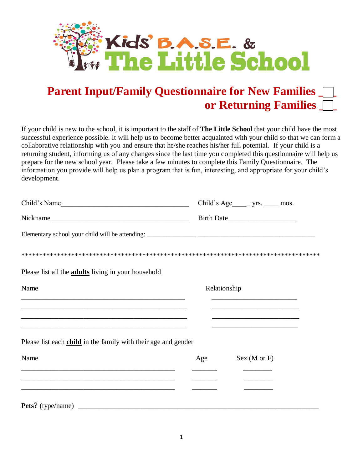

## **Parent Input/Family Questionnaire for New Families**  $\Box$  **or Returning Families \_\_\_**

If your child is new to the school, it is important to the staff of **The Little School** that your child have the most successful experience possible. It will help us to become better acquainted with your child so that we can form a collaborative relationship with you and ensure that he/she reaches his/her full potential. If your child is a returning student, informing us of any changes since the last time you completed this questionnaire will help us prepare for the new school year. Please take a few minutes to complete this Family Questionnaire. The information you provide will help us plan a program that is fun, interesting, and appropriate for your child's development.

| Child's Name                                                                                                                                                                      |              | Child's Age _______ yrs. ______ mos.               |  |  |  |
|-----------------------------------------------------------------------------------------------------------------------------------------------------------------------------------|--------------|----------------------------------------------------|--|--|--|
| Nickname                                                                                                                                                                          |              |                                                    |  |  |  |
|                                                                                                                                                                                   |              |                                                    |  |  |  |
|                                                                                                                                                                                   |              |                                                    |  |  |  |
| Please list all the <b>adults</b> living in your household                                                                                                                        |              |                                                    |  |  |  |
| Name                                                                                                                                                                              | Relationship |                                                    |  |  |  |
|                                                                                                                                                                                   |              |                                                    |  |  |  |
| <u> 1980 - Jan James James Santan (j. 1980)</u><br><u> 1989 - Johann Stoff, amerikansk politiker (d. 1989)</u>                                                                    |              | <u> 1980 - Johann John Stone, markin fizikar (</u> |  |  |  |
| Please list each child in the family with their age and gender                                                                                                                    |              |                                                    |  |  |  |
| Name                                                                                                                                                                              | Age          | Sex (M or F)                                       |  |  |  |
| <u> 2008 - Jan Barnett, amerikan berlindar (h. 1888).</u><br><u> 1990 - Jan James James James James James James James James James James James James James James James James J</u> |              |                                                    |  |  |  |
|                                                                                                                                                                                   |              |                                                    |  |  |  |
| Pets? (type/name)                                                                                                                                                                 |              |                                                    |  |  |  |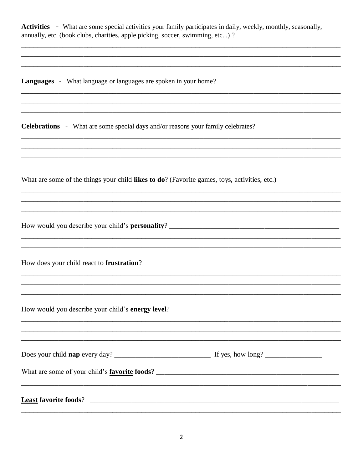Activities - What are some special activities your family participates in daily, weekly, monthly, seasonally, annually, etc. (book clubs, charities, apple picking, soccer, swimming, etc...) ?

**Languages** - What language or languages are spoken in your home?

**Celebrations** - What are some special days and/or reasons your family celebrates?

What are some of the things your child likes to do? (Favorite games, toys, activities, etc.)

How would you describe your child's **personality**?

How does your child react to frustration?

How would you describe your child's energy level?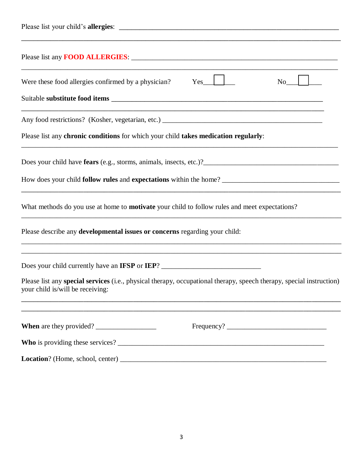| Were these food allergies confirmed by a physician?<br>Yes<br>No                                                                                                       |
|------------------------------------------------------------------------------------------------------------------------------------------------------------------------|
|                                                                                                                                                                        |
|                                                                                                                                                                        |
| Please list any chronic conditions for which your child takes medication regularly:                                                                                    |
|                                                                                                                                                                        |
|                                                                                                                                                                        |
| What methods do you use at home to <b>motivate</b> your child to follow rules and meet expectations?                                                                   |
| Please describe any <b>developmental issues or concerns</b> regarding your child:<br>,我们也不能在这里的时候,我们也不能在这里的时候,我们也不能会在这里的时候,我们也不能会在这里的时候,我们也不能会在这里的时候,我们也不能会在这里的时候,我们也不 |
| Does your child currently have an IFSP or IEP? __________________________________                                                                                      |
| Please list any special services (i.e., physical therapy, occupational therapy, speech therapy, special instruction)<br>your child is/will be receiving:               |
| When are they provided?                                                                                                                                                |
|                                                                                                                                                                        |
|                                                                                                                                                                        |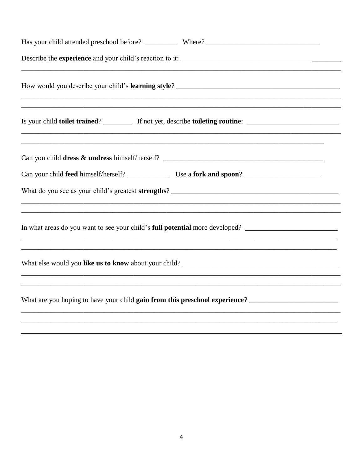| <u> 1990 - Johann Stoff, deutscher Stoff, der Stoff, der Stoff, der Stoff, der Stoff, der Stoff, der Stoff, der S</u><br>In what areas do you want to see your child's full potential more developed? _________________________________ |
|-----------------------------------------------------------------------------------------------------------------------------------------------------------------------------------------------------------------------------------------|
|                                                                                                                                                                                                                                         |
| What are you hoping to have your child gain from this preschool experience? ________________________                                                                                                                                    |
| ,我们也不能在这里,我们也不能会在这里,我们也不能会不能会不能会不能会不能会不能会不能会。""我们的人,我们也不能会不能会不能会不能会不能会不能会不能会不能会不                                                                                                                                                        |